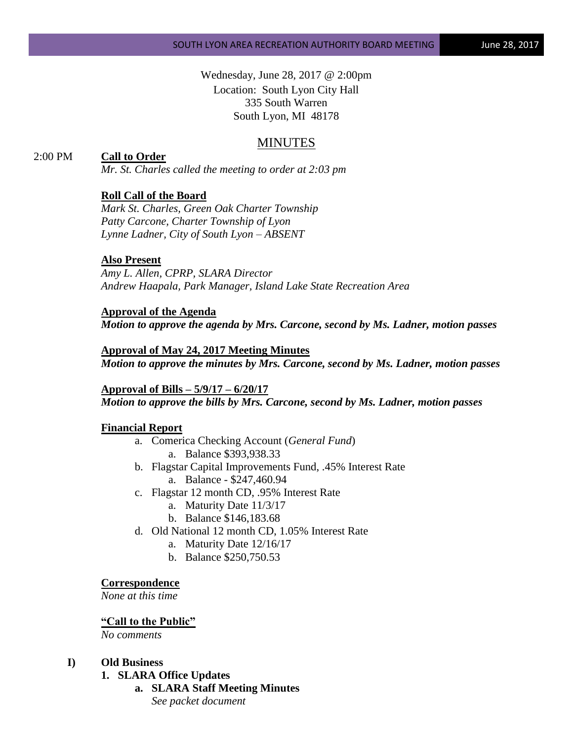Wednesday, June 28, 2017 @ 2:00pm Location: South Lyon City Hall 335 South Warren South Lyon, MI 48178

# MINUTES

# 2:00 PM **Call to Order**

*Mr. St. Charles called the meeting to order at 2:03 pm*

# **Roll Call of the Board**

*Mark St. Charles, Green Oak Charter Township Patty Carcone, Charter Township of Lyon Lynne Ladner, City of South Lyon – ABSENT* 

### **Also Present**

*Amy L. Allen, CPRP, SLARA Director Andrew Haapala, Park Manager, Island Lake State Recreation Area*

**Approval of the Agenda** *Motion to approve the agenda by Mrs. Carcone, second by Ms. Ladner, motion passes*

**Approval of May 24, 2017 Meeting Minutes** *Motion to approve the minutes by Mrs. Carcone, second by Ms. Ladner, motion passes*

**Approval of Bills – 5/9/17 – 6/20/17** *Motion to approve the bills by Mrs. Carcone, second by Ms. Ladner, motion passes*

#### **Financial Report**

- a. Comerica Checking Account (*General Fund*) a. Balance \$393,938.33
- b. Flagstar Capital Improvements Fund, .45% Interest Rate a. Balance - \$247,460.94
- c. Flagstar 12 month CD, .95% Interest Rate
	- a. Maturity Date 11/3/17
	- b. Balance \$146,183.68
- d. Old National 12 month CD, 1.05% Interest Rate
	- a. Maturity Date 12/16/17
	- b. Balance \$250,750.53

#### **Correspondence**

*None at this time*

# **"Call to the Public"**

*No comments*

#### **I) Old Business**

- **1. SLARA Office Updates**
	- **a. SLARA Staff Meeting Minutes** *See packet document*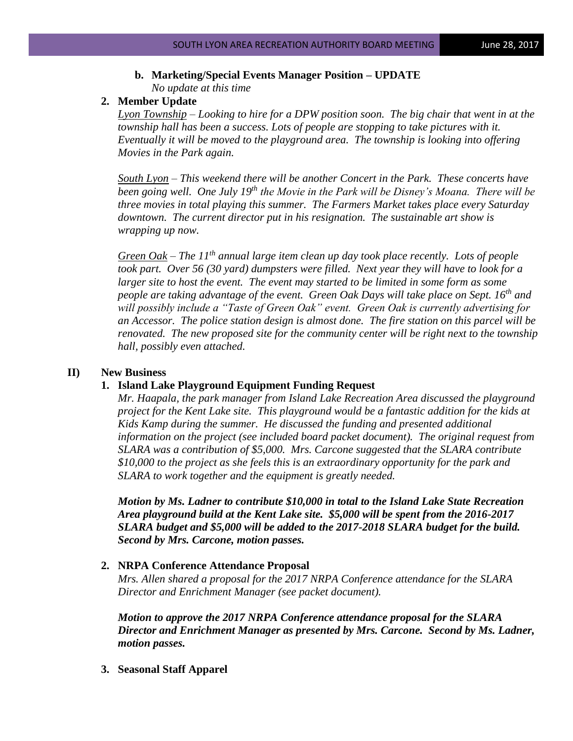# **b. Marketing/Special Events Manager Position – UPDATE** *No update at this time*

# **2. Member Update**

*Lyon Township – Looking to hire for a DPW position soon. The big chair that went in at the township hall has been a success. Lots of people are stopping to take pictures with it. Eventually it will be moved to the playground area. The township is looking into offering Movies in the Park again.*

*South Lyon – This weekend there will be another Concert in the Park. These concerts have been going well. One July 19th the Movie in the Park will be Disney's Moana. There will be three movies in total playing this summer. The Farmers Market takes place every Saturday downtown. The current director put in his resignation. The sustainable art show is wrapping up now.*

*Green Oak – The 11th annual large item clean up day took place recently. Lots of people took part. Over 56 (30 yard) dumpsters were filled. Next year they will have to look for a larger site to host the event. The event may started to be limited in some form as some people are taking advantage of the event. Green Oak Days will take place on Sept. 16th and will possibly include a "Taste of Green Oak" event. Green Oak is currently advertising for an Accessor. The police station design is almost done. The fire station on this parcel will be renovated. The new proposed site for the community center will be right next to the township hall, possibly even attached.*

# **II) New Business**

# **1. Island Lake Playground Equipment Funding Request**

*Mr. Haapala, the park manager from Island Lake Recreation Area discussed the playground project for the Kent Lake site. This playground would be a fantastic addition for the kids at Kids Kamp during the summer. He discussed the funding and presented additional information on the project (see included board packet document). The original request from SLARA was a contribution of \$5,000. Mrs. Carcone suggested that the SLARA contribute \$10,000 to the project as she feels this is an extraordinary opportunity for the park and SLARA to work together and the equipment is greatly needed.*

*Motion by Ms. Ladner to contribute \$10,000 in total to the Island Lake State Recreation Area playground build at the Kent Lake site. \$5,000 will be spent from the 2016-2017 SLARA budget and \$5,000 will be added to the 2017-2018 SLARA budget for the build. Second by Mrs. Carcone, motion passes.*

# **2. NRPA Conference Attendance Proposal**

*Mrs. Allen shared a proposal for the 2017 NRPA Conference attendance for the SLARA Director and Enrichment Manager (see packet document).* 

*Motion to approve the 2017 NRPA Conference attendance proposal for the SLARA Director and Enrichment Manager as presented by Mrs. Carcone. Second by Ms. Ladner, motion passes.*

**3. Seasonal Staff Apparel**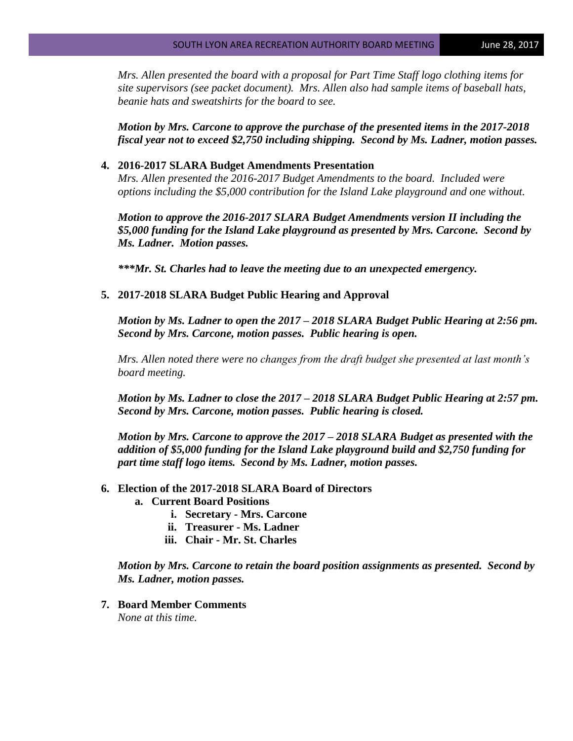*Mrs. Allen presented the board with a proposal for Part Time Staff logo clothing items for site supervisors (see packet document). Mrs. Allen also had sample items of baseball hats, beanie hats and sweatshirts for the board to see.* 

*Motion by Mrs. Carcone to approve the purchase of the presented items in the 2017-2018 fiscal year not to exceed \$2,750 including shipping. Second by Ms. Ladner, motion passes.*

### **4. 2016-2017 SLARA Budget Amendments Presentation**

*Mrs. Allen presented the 2016-2017 Budget Amendments to the board. Included were options including the \$5,000 contribution for the Island Lake playground and one without.* 

*Motion to approve the 2016-2017 SLARA Budget Amendments version II including the \$5,000 funding for the Island Lake playground as presented by Mrs. Carcone. Second by Ms. Ladner. Motion passes.*

*\*\*\*Mr. St. Charles had to leave the meeting due to an unexpected emergency.*

## **5. 2017-2018 SLARA Budget Public Hearing and Approval**

*Motion by Ms. Ladner to open the 2017 – 2018 SLARA Budget Public Hearing at 2:56 pm. Second by Mrs. Carcone, motion passes. Public hearing is open.*

*Mrs. Allen noted there were no changes from the draft budget she presented at last month's board meeting.* 

*Motion by Ms. Ladner to close the 2017 – 2018 SLARA Budget Public Hearing at 2:57 pm. Second by Mrs. Carcone, motion passes. Public hearing is closed.*

*Motion by Mrs. Carcone to approve the 2017 – 2018 SLARA Budget as presented with the addition of \$5,000 funding for the Island Lake playground build and \$2,750 funding for part time staff logo items. Second by Ms. Ladner, motion passes.*

# **6. Election of the 2017-2018 SLARA Board of Directors**

- **a. Current Board Positions**
	- **i. Secretary - Mrs. Carcone**
	- **ii. Treasurer - Ms. Ladner**
	- **iii. Chair - Mr. St. Charles**

*Motion by Mrs. Carcone to retain the board position assignments as presented. Second by Ms. Ladner, motion passes.*

**7. Board Member Comments** *None at this time.*